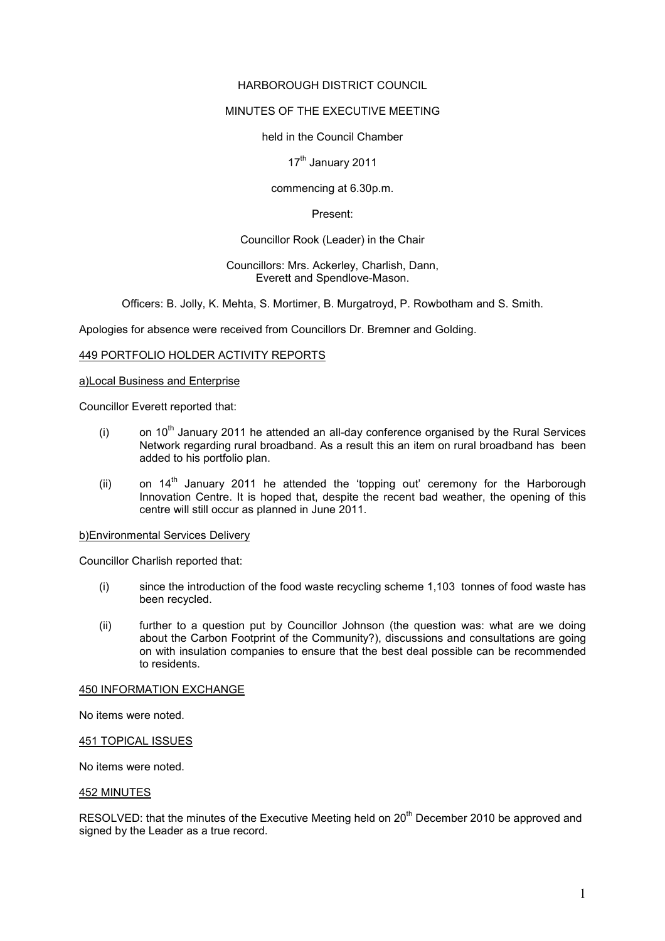## HARBOROUGH DISTRICT COUNCIL

# MINUTES OF THE EXECUTIVE MEETING

### held in the Council Chamber

## 17<sup>th</sup> January 2011

### commencing at 6.30p.m.

### Present:

## Councillor Rook (Leader) in the Chair

### Councillors: Mrs. Ackerley, Charlish, Dann, Everett and Spendlove-Mason.

Officers: B. Jolly, K. Mehta, S. Mortimer, B. Murgatroyd, P. Rowbotham and S. Smith.

Apologies for absence were received from Councillors Dr. Bremner and Golding.

### 449 PORTFOLIO HOLDER ACTIVITY REPORTS

#### a)Local Business and Enterprise

Councillor Everett reported that:

- (i) on  $10<sup>th</sup>$  January 2011 he attended an all-day conference organised by the Rural Services Network regarding rural broadband. As a result this an item on rural broadband has been added to his portfolio plan.
- (ii) on  $14<sup>th</sup>$  January 2011 he attended the 'topping out' ceremony for the Harborough Innovation Centre. It is hoped that, despite the recent bad weather, the opening of this centre will still occur as planned in June 2011.

### b)Environmental Services Delivery

Councillor Charlish reported that:

- (i) since the introduction of the food waste recycling scheme 1,103 tonnes of food waste has been recycled.
- (ii) further to a question put by Councillor Johnson (the question was: what are we doing about the Carbon Footprint of the Community?), discussions and consultations are going on with insulation companies to ensure that the best deal possible can be recommended to residents.

#### 450 INFORMATION EXCHANGE

No items were noted.

## 451 TOPICAL ISSUES

No items were noted.

### 452 MINUTES

RESOLVED: that the minutes of the Executive Meeting held on 20<sup>th</sup> December 2010 be approved and signed by the Leader as a true record.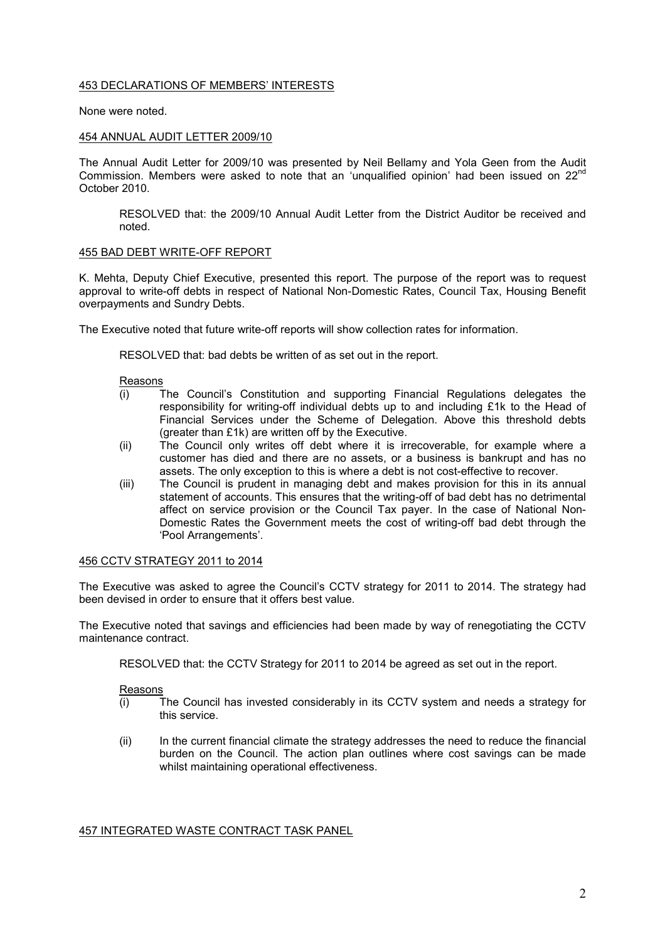### 453 DECLARATIONS OF MEMBERS' INTERESTS

None were noted.

### 454 ANNUAL AUDIT LETTER 2009/10

The Annual Audit Letter for 2009/10 was presented by Neil Bellamy and Yola Geen from the Audit Commission. Members were asked to note that an 'unqualified opinion' had been issued on  $22^{\text{nd}}$ October 2010.

RESOLVED that: the 2009/10 Annual Audit Letter from the District Auditor be received and noted.

## 455 BAD DEBT WRITE-OFF REPORT

K. Mehta, Deputy Chief Executive, presented this report. The purpose of the report was to request approval to write-off debts in respect of National Non-Domestic Rates, Council Tax, Housing Benefit overpayments and Sundry Debts.

The Executive noted that future write-off reports will show collection rates for information.

RESOLVED that: bad debts be written of as set out in the report.

Reasons

- (i) The Council's Constitution and supporting Financial Regulations delegates the responsibility for writing-off individual debts up to and including £1k to the Head of Financial Services under the Scheme of Delegation. Above this threshold debts (greater than £1k) are written off by the Executive.
- (ii) The Council only writes off debt where it is irrecoverable, for example where a customer has died and there are no assets, or a business is bankrupt and has no assets. The only exception to this is where a debt is not cost-effective to recover.
- (iii) The Council is prudent in managing debt and makes provision for this in its annual statement of accounts. This ensures that the writing-off of bad debt has no detrimental affect on service provision or the Council Tax payer. In the case of National Non-Domestic Rates the Government meets the cost of writing-off bad debt through the 'Pool Arrangements'.

## 456 CCTV STRATEGY 2011 to 2014

The Executive was asked to agree the Council's CCTV strategy for 2011 to 2014. The strategy had been devised in order to ensure that it offers best value.

The Executive noted that savings and efficiencies had been made by way of renegotiating the CCTV maintenance contract.

RESOLVED that: the CCTV Strategy for 2011 to 2014 be agreed as set out in the report.

Reasons

- (i) The Council has invested considerably in its CCTV system and needs a strategy for this service.
- (ii) In the current financial climate the strategy addresses the need to reduce the financial burden on the Council. The action plan outlines where cost savings can be made whilst maintaining operational effectiveness.

## 457 INTEGRATED WASTE CONTRACT TASK PANEL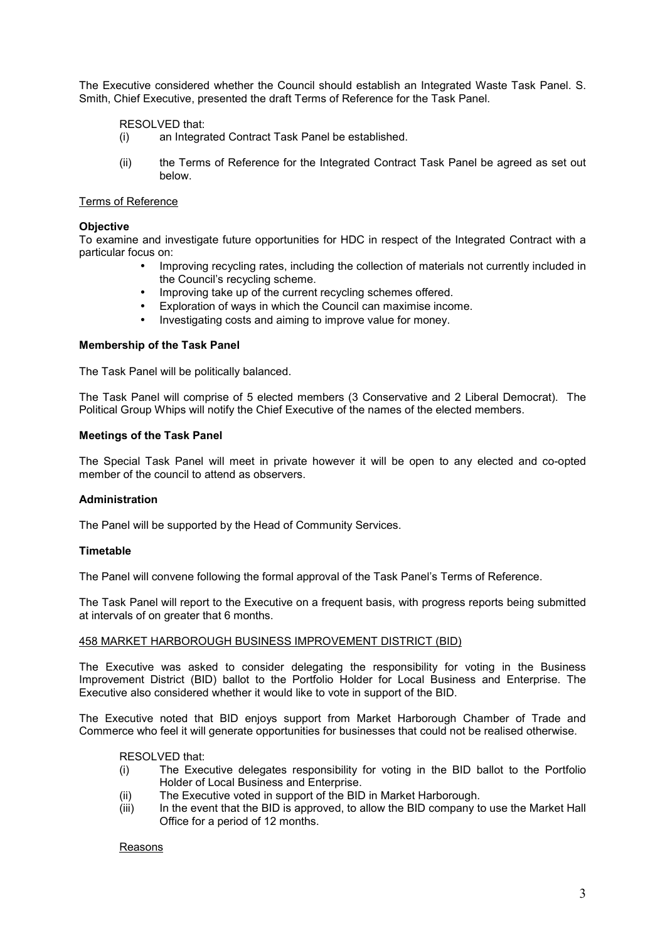The Executive considered whether the Council should establish an Integrated Waste Task Panel. S. Smith, Chief Executive, presented the draft Terms of Reference for the Task Panel.

RESOLVED that:

- (i) an Integrated Contract Task Panel be established.
- (ii) the Terms of Reference for the Integrated Contract Task Panel be agreed as set out below.

## Terms of Reference

### **Objective**

To examine and investigate future opportunities for HDC in respect of the Integrated Contract with a particular focus on:

- Improving recycling rates, including the collection of materials not currently included in the Council's recycling scheme.
- Improving take up of the current recycling schemes offered.
- Exploration of ways in which the Council can maximise income.
- Investigating costs and aiming to improve value for money.

### **Membership of the Task Panel**

The Task Panel will be politically balanced.

The Task Panel will comprise of 5 elected members (3 Conservative and 2 Liberal Democrat). The Political Group Whips will notify the Chief Executive of the names of the elected members.

### **Meetings of the Task Panel**

The Special Task Panel will meet in private however it will be open to any elected and co-opted member of the council to attend as observers.

### **Administration**

The Panel will be supported by the Head of Community Services.

### **Timetable**

The Panel will convene following the formal approval of the Task Panel's Terms of Reference.

The Task Panel will report to the Executive on a frequent basis, with progress reports being submitted at intervals of on greater that 6 months.

### 458 MARKET HARBOROUGH BUSINESS IMPROVEMENT DISTRICT (BID)

The Executive was asked to consider delegating the responsibility for voting in the Business Improvement District (BID) ballot to the Portfolio Holder for Local Business and Enterprise. The Executive also considered whether it would like to vote in support of the BID.

The Executive noted that BID enjoys support from Market Harborough Chamber of Trade and Commerce who feel it will generate opportunities for businesses that could not be realised otherwise.

### RESOLVED that:

- (i) The Executive delegates responsibility for voting in the BID ballot to the Portfolio Holder of Local Business and Enterprise.
- (ii) The Executive voted in support of the BID in Market Harborough.
- (iii) In the event that the BID is approved, to allow the BID company to use the Market Hall Office for a period of 12 months.

Reasons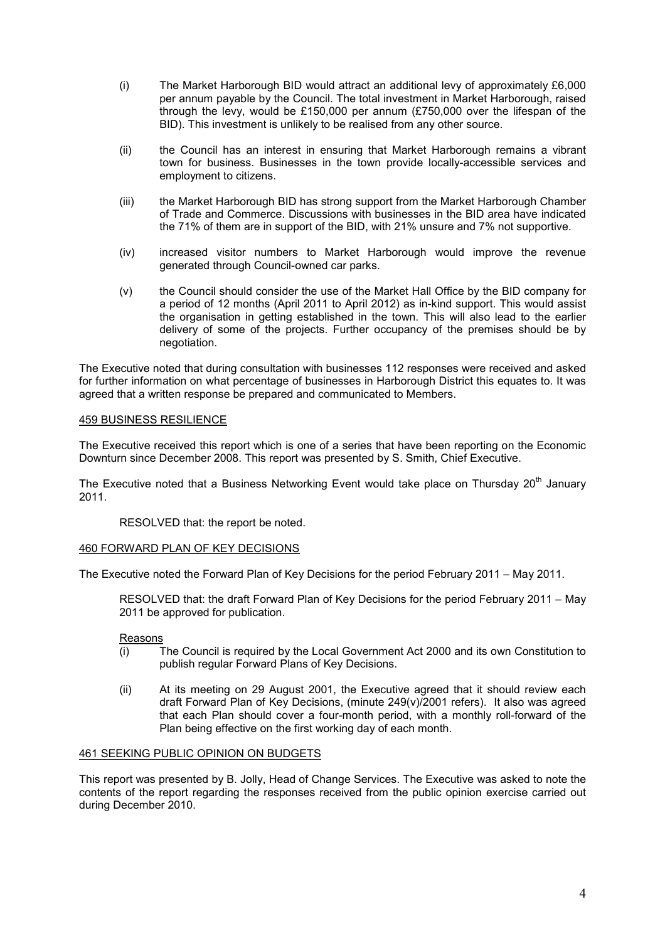- (i) The Market Harborough BID would attract an additional levy of approximately £6,000 per annum payable by the Council. The total investment in Market Harborough, raised through the levy, would be £150,000 per annum (£750,000 over the lifespan of the BID). This investment is unlikely to be realised from any other source.
- (ii) the Council has an interest in ensuring that Market Harborough remains a vibrant town for business. Businesses in the town provide locally-accessible services and employment to citizens.
- (iii) the Market Harborough BID has strong support from the Market Harborough Chamber of Trade and Commerce. Discussions with businesses in the BID area have indicated the 71% of them are in support of the BID, with 21% unsure and 7% not supportive.
- (iv) increased visitor numbers to Market Harborough would improve the revenue generated through Council-owned car parks.
- (v) the Council should consider the use of the Market Hall Office by the BID company for a period of 12 months (April 2011 to April 2012) as in-kind support. This would assist the organisation in getting established in the town. This will also lead to the earlier delivery of some of the projects. Further occupancy of the premises should be by negotiation.

The Executive noted that during consultation with businesses 112 responses were received and asked for further information on what percentage of businesses in Harborough District this equates to. It was agreed that a written response be prepared and communicated to Members.

## 459 BUSINESS RESILIENCE

The Executive received this report which is one of a series that have been reporting on the Economic Downturn since December 2008. This report was presented by S. Smith, Chief Executive.

The Executive noted that a Business Networking Event would take place on Thursday 20<sup>th</sup> January 2011.

RESOLVED that: the report be noted.

### 460 FORWARD PLAN OF KEY DECISIONS

The Executive noted the Forward Plan of Key Decisions for the period February 2011 – May 2011.

RESOLVED that: the draft Forward Plan of Key Decisions for the period February 2011 – May 2011 be approved for publication.

### Reasons

- (i) The Council is required by the Local Government Act 2000 and its own Constitution to publish regular Forward Plans of Key Decisions.
- (ii) At its meeting on 29 August 2001, the Executive agreed that it should review each draft Forward Plan of Key Decisions, (minute 249(v)/2001 refers). It also was agreed that each Plan should cover a four-month period, with a monthly roll-forward of the Plan being effective on the first working day of each month.

## 461 SEEKING PUBLIC OPINION ON BUDGETS

This report was presented by B. Jolly, Head of Change Services. The Executive was asked to note the contents of the report regarding the responses received from the public opinion exercise carried out during December 2010.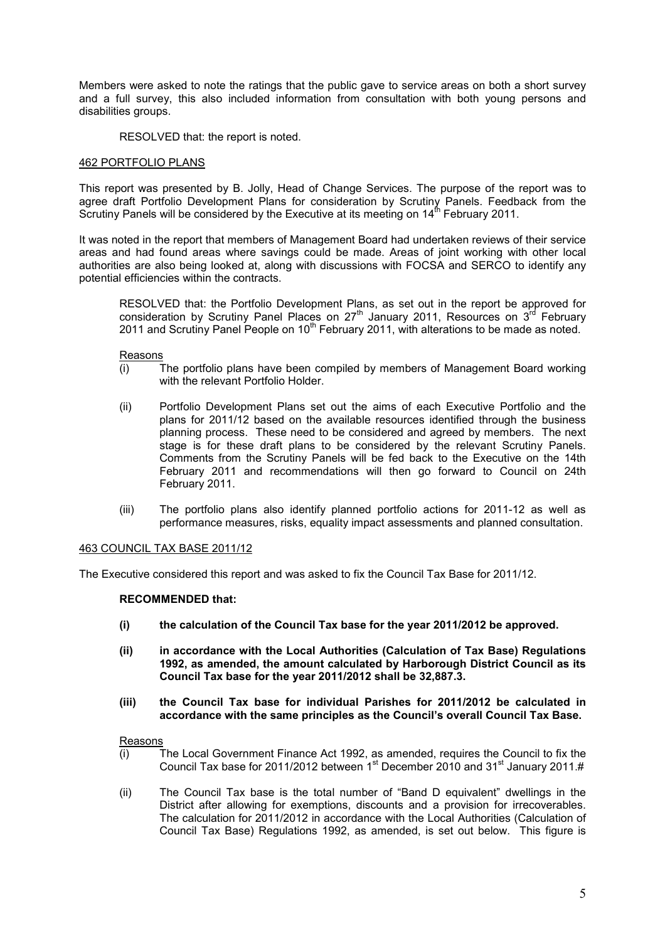Members were asked to note the ratings that the public gave to service areas on both a short survey and a full survey, this also included information from consultation with both young persons and disabilities groups.

RESOLVED that: the report is noted.

#### 462 PORTFOLIO PLANS

This report was presented by B. Jolly, Head of Change Services. The purpose of the report was to agree draft Portfolio Development Plans for consideration by Scrutiny Panels. Feedback from the Scrutiny Panels will be considered by the Executive at its meeting on  $14<sup>th</sup>$  February 2011.

It was noted in the report that members of Management Board had undertaken reviews of their service areas and had found areas where savings could be made. Areas of joint working with other local authorities are also being looked at, along with discussions with FOCSA and SERCO to identify any potential efficiencies within the contracts.

RESOLVED that: the Portfolio Development Plans, as set out in the report be approved for consideration by Scrutiny Panel Places on  $27<sup>th</sup>$  January 2011, Resources on  $3<sup>rd</sup>$  February 2011 and Scrutiny Panel People on 10<sup>th</sup> February 2011, with alterations to be made as noted.

Reasons

- (i) The portfolio plans have been compiled by members of Management Board working with the relevant Portfolio Holder.
- (ii) Portfolio Development Plans set out the aims of each Executive Portfolio and the plans for 2011/12 based on the available resources identified through the business planning process. These need to be considered and agreed by members. The next stage is for these draft plans to be considered by the relevant Scrutiny Panels. Comments from the Scrutiny Panels will be fed back to the Executive on the 14th February 2011 and recommendations will then go forward to Council on 24th February 2011.
- (iii) The portfolio plans also identify planned portfolio actions for 2011-12 as well as performance measures, risks, equality impact assessments and planned consultation.

#### 463 COUNCIL TAX BASE 2011/12

The Executive considered this report and was asked to fix the Council Tax Base for 2011/12.

#### **RECOMMENDED that:**

- **(i) the calculation of the Council Tax base for the year 2011/2012 be approved.**
- **(ii) in accordance with the Local Authorities (Calculation of Tax Base) Regulations 1992, as amended, the amount calculated by Harborough District Council as its Council Tax base for the year 2011/2012 shall be 32,887.3.**
- **(iii) the Council Tax base for individual Parishes for 2011/2012 be calculated in accordance with the same principles as the Council's overall Council Tax Base.**

Reasons

- (i) The Local Government Finance Act 1992, as amended, requires the Council to fix the Council Tax base for 2011/2012 between  $1<sup>st</sup>$  December 2010 and 31 $<sup>st</sup>$  January 2011.#</sup>
- (ii) The Council Tax base is the total number of "Band D equivalent" dwellings in the District after allowing for exemptions, discounts and a provision for irrecoverables. The calculation for 2011/2012 in accordance with the Local Authorities (Calculation of Council Tax Base) Regulations 1992, as amended, is set out below. This figure is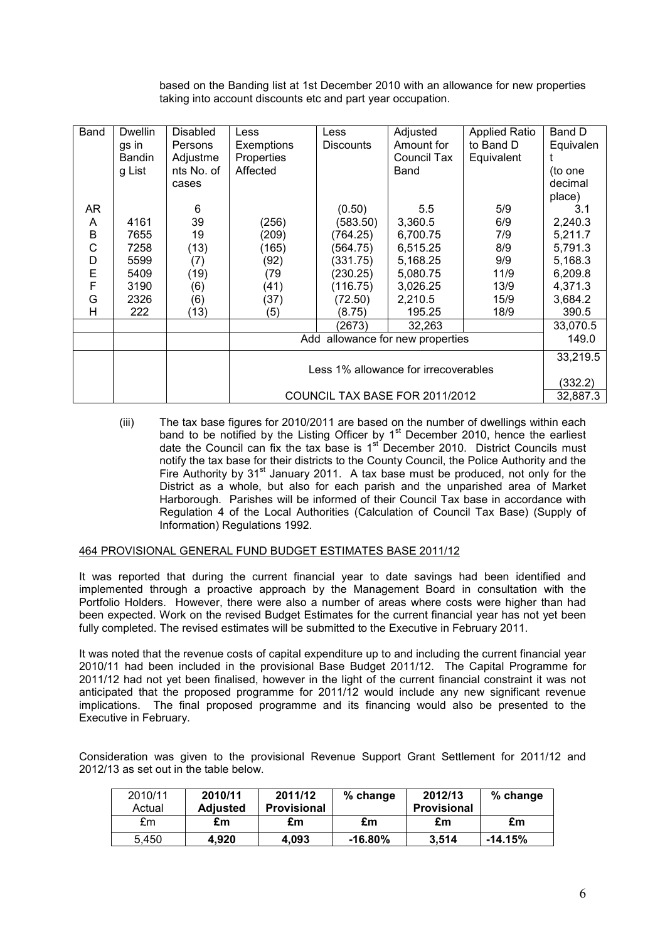based on the Banding list at 1st December 2010 with an allowance for new properties taking into account discounts etc and part year occupation.

| Band | <b>Dwellin</b><br>gs in<br>Bandin<br>g List | <b>Disabled</b><br><b>Persons</b><br>Adjustme<br>nts No. of<br>cases | Less<br>Exemptions<br>Properties<br>Affected | Less<br><b>Discounts</b> | Adjusted<br>Amount for<br>Council Tax<br>Band | <b>Applied Ratio</b><br>to Band D<br>Equivalent | Band D<br>Equivalen<br>(to one<br>decimal<br>place) |
|------|---------------------------------------------|----------------------------------------------------------------------|----------------------------------------------|--------------------------|-----------------------------------------------|-------------------------------------------------|-----------------------------------------------------|
| AR   |                                             | 6                                                                    |                                              | (0.50)                   | 5.5                                           | 5/9                                             | 3.1                                                 |
| A    | 4161                                        | 39                                                                   | (256)                                        | (583.50)                 | 3,360.5                                       | 6/9                                             | 2,240.3                                             |
| В    | 7655                                        | 19                                                                   | (209)                                        | (764.25)                 | 6,700.75                                      | 7/9                                             | 5,211.7                                             |
| C    | 7258                                        | (13)                                                                 | (165)                                        | (564.75)                 | 6,515.25                                      | 8/9                                             | 5,791.3                                             |
| D    | 5599                                        | (7)                                                                  | (92)                                         | (331.75)                 | 5,168.25                                      | 9/9                                             | 5,168.3                                             |
| E    | 5409                                        | (19)                                                                 | (79)                                         | (230.25)                 | 5,080.75                                      | 11/9                                            | 6,209.8                                             |
| F    | 3190                                        | (6)                                                                  | (41)                                         | (116.75)                 | 3,026.25                                      | 13/9                                            | 4,371.3                                             |
| G    | 2326                                        | (6)                                                                  | (37)                                         | (72.50)                  | 2,210.5                                       | 15/9                                            | 3,684.2                                             |
| н    | 222                                         | (13)                                                                 | (5)                                          | (8.75)                   | 195.25                                        | 18/9                                            | 390.5                                               |
|      |                                             |                                                                      |                                              | (2673)                   | 32,263                                        |                                                 | 33,070.5                                            |
|      |                                             |                                                                      | Add allowance for new properties             | 149.0                    |                                               |                                                 |                                                     |
|      |                                             |                                                                      |                                              | 33,219.5                 |                                               |                                                 |                                                     |
|      |                                             |                                                                      | Less 1% allowance for irrecoverables         |                          |                                               |                                                 |                                                     |
|      |                                             |                                                                      |                                              | (332.2)                  |                                               |                                                 |                                                     |
|      |                                             |                                                                      | COUNCIL TAX BASE FOR 2011/2012               | 32,887.3                 |                                               |                                                 |                                                     |

(iii) The tax base figures for 2010/2011 are based on the number of dwellings within each band to be notified by the Listing Officer by 1<sup>st</sup> December 2010, hence the earliest date the Council can fix the tax base is  $1<sup>st</sup>$  December 2010. District Councils must notify the tax base for their districts to the County Council, the Police Authority and the Fire Authority by  $31<sup>st</sup>$  January 2011. A tax base must be produced, not only for the District as a whole, but also for each parish and the unparished area of Market Harborough. Parishes will be informed of their Council Tax base in accordance with Regulation 4 of the Local Authorities (Calculation of Council Tax Base) (Supply of Information) Regulations 1992.

## 464 PROVISIONAL GENERAL FUND BUDGET ESTIMATES BASE 2011/12

It was reported that during the current financial year to date savings had been identified and implemented through a proactive approach by the Management Board in consultation with the Portfolio Holders. However, there were also a number of areas where costs were higher than had been expected. Work on the revised Budget Estimates for the current financial year has not yet been fully completed. The revised estimates will be submitted to the Executive in February 2011.

It was noted that the revenue costs of capital expenditure up to and including the current financial year 2010/11 had been included in the provisional Base Budget 2011/12. The Capital Programme for 2011/12 had not yet been finalised, however in the light of the current financial constraint it was not anticipated that the proposed programme for 2011/12 would include any new significant revenue implications. The final proposed programme and its financing would also be presented to the Executive in February.

Consideration was given to the provisional Revenue Support Grant Settlement for 2011/12 and 2012/13 as set out in the table below.

| 2010/11<br>Actual | 2010/11<br><b>Adjusted</b> | 2011/12<br><b>Provisional</b> | % change   | 2012/13<br><b>Provisional</b> | % change  |
|-------------------|----------------------------|-------------------------------|------------|-------------------------------|-----------|
| £m                | £m                         | £m                            | £m         | £m                            | £m        |
| 5.450             | 4.920                      | 4.093                         | $-16.80\%$ | 3.514                         | $-14.15%$ |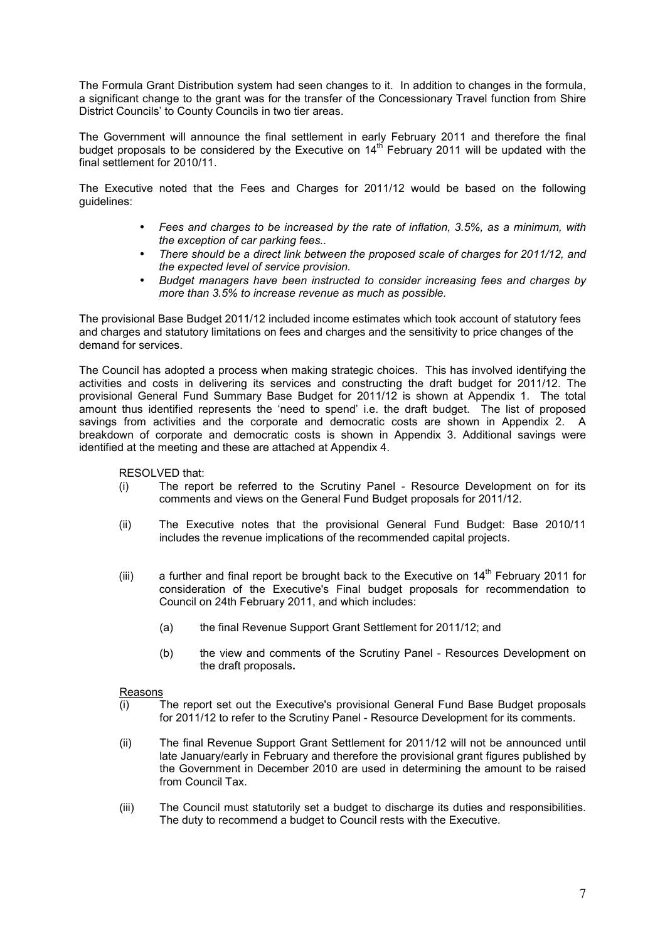The Formula Grant Distribution system had seen changes to it. In addition to changes in the formula, a significant change to the grant was for the transfer of the Concessionary Travel function from Shire District Councils' to County Councils in two tier areas.

The Government will announce the final settlement in early February 2011 and therefore the final budget proposals to be considered by the Executive on  $14<sup>th</sup>$  February 2011 will be updated with the final settlement for 2010/11.

The Executive noted that the Fees and Charges for 2011/12 would be based on the following guidelines:

- *Fees and charges to be increased by the rate of inflation, 3.5%, as a minimum, with the exception of car parking fees..*
- *There should be a direct link between the proposed scale of charges for 2011/12, and the expected level of service provision.*
- *Budget managers have been instructed to consider increasing fees and charges by more than 3.5% to increase revenue as much as possible.*

The provisional Base Budget 2011/12 included income estimates which took account of statutory fees and charges and statutory limitations on fees and charges and the sensitivity to price changes of the demand for services.

The Council has adopted a process when making strategic choices. This has involved identifying the activities and costs in delivering its services and constructing the draft budget for 2011/12. The provisional General Fund Summary Base Budget for 2011/12 is shown at Appendix 1. The total amount thus identified represents the 'need to spend' i.e. the draft budget. The list of proposed savings from activities and the corporate and democratic costs are shown in Appendix 2. A breakdown of corporate and democratic costs is shown in Appendix 3. Additional savings were identified at the meeting and these are attached at Appendix 4.

RESOLVED that:

- (i) The report be referred to the Scrutiny Panel Resource Development on for its comments and views on the General Fund Budget proposals for 2011/12.
- (ii) The Executive notes that the provisional General Fund Budget: Base 2010/11 includes the revenue implications of the recommended capital projects.
- (iii) a further and final report be brought back to the Executive on  $14<sup>th</sup>$  February 2011 for consideration of the Executive's Final budget proposals for recommendation to Council on 24th February 2011, and which includes:
	- (a) the final Revenue Support Grant Settlement for 2011/12; and
	- (b) the view and comments of the Scrutiny Panel Resources Development on the draft proposals**.**

### Reasons

- (i) The report set out the Executive's provisional General Fund Base Budget proposals for 2011/12 to refer to the Scrutiny Panel - Resource Development for its comments.
- (ii) The final Revenue Support Grant Settlement for 2011/12 will not be announced until late January/early in February and therefore the provisional grant figures published by the Government in December 2010 are used in determining the amount to be raised from Council Tax.
- (iii) The Council must statutorily set a budget to discharge its duties and responsibilities. The duty to recommend a budget to Council rests with the Executive.